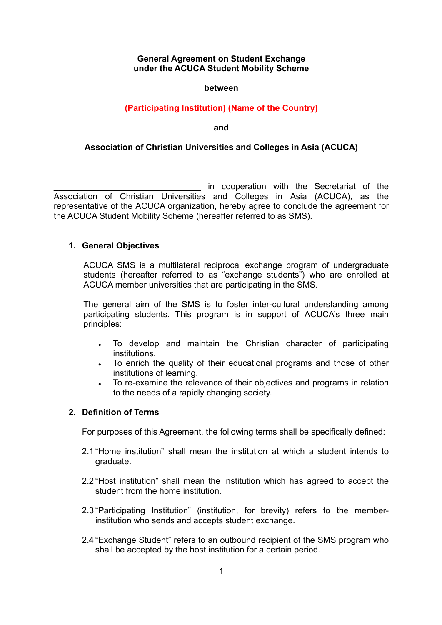## **General Agreement on Student Exchange under the ACUCA Student Mobility Scheme**

#### **between**

# **(Participating Institution) (Name of the Country)**

#### **and**

## **Association of Christian Universities and Colleges in Asia (ACUCA)**

in cooperation with the Secretariat of the Association of Christian Universities and Colleges in Asia (ACUCA), as the representative of the ACUCA organization, hereby agree to conclude the agreement for the ACUCA Student Mobility Scheme (hereafter referred to as SMS).

#### **1. General Objectives**

ACUCA SMS is a multilateral reciprocal exchange program of undergraduate students (hereafter referred to as "exchange students") who are enrolled at ACUCA member universities that are participating in the SMS.

The general aim of the SMS is to foster inter-cultural understanding among participating students. This program is in support of ACUCA's three main principles:

- To develop and maintain the Christian character of participating institutions.
- To enrich the quality of their educational programs and those of other institutions of learning.
- <sup>l</sup> To re-examine the relevance of their objectives and programs in relation to the needs of a rapidly changing society.

## **2. Definition of Terms**

For purposes of this Agreement, the following terms shall be specifically defined:

- 2.1 "Home institution" shall mean the institution at which a student intends to graduate.
- 2.2 "Host institution" shall mean the institution which has agreed to accept the student from the home institution.
- 2.3 "Participating Institution" (institution, for brevity) refers to the memberinstitution who sends and accepts student exchange.
- 2.4 "Exchange Student" refers to an outbound recipient of the SMS program who shall be accepted by the host institution for a certain period.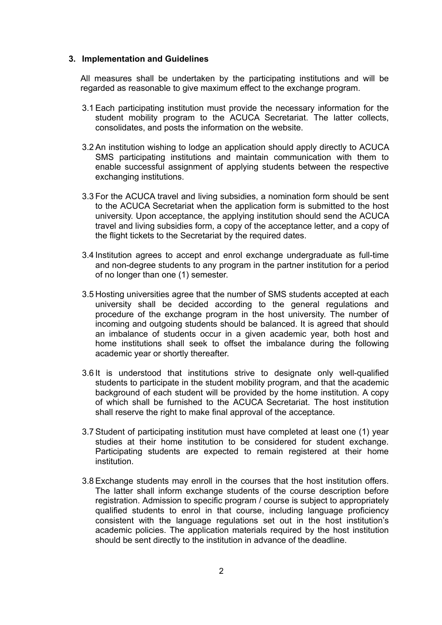#### **3. Implementation and Guidelines**

All measures shall be undertaken by the participating institutions and will be regarded as reasonable to give maximum effect to the exchange program.

- 3.1 Each participating institution must provide the necessary information for the student mobility program to the ACUCA Secretariat. The latter collects, consolidates, and posts the information on the website.
- 3.2 An institution wishing to lodge an application should apply directly to ACUCA SMS participating institutions and maintain communication with them to enable successful assignment of applying students between the respective exchanging institutions.
- 3.3 For the ACUCA travel and living subsidies, a nomination form should be sent to the ACUCA Secretariat when the application form is submitted to the host university. Upon acceptance, the applying institution should send the ACUCA travel and living subsidies form, a copy of the acceptance letter, and a copy of the flight tickets to the Secretariat by the required dates.
- 3.4 Institution agrees to accept and enrol exchange undergraduate as full-time and non-degree students to any program in the partner institution for a period of no longer than one (1) semester.
- 3.5 Hosting universities agree that the number of SMS students accepted at each university shall be decided according to the general regulations and procedure of the exchange program in the host university. The number of incoming and outgoing students should be balanced. It is agreed that should an imbalance of students occur in a given academic year, both host and home institutions shall seek to offset the imbalance during the following academic year or shortly thereafter.
- 3.6 It is understood that institutions strive to designate only well-qualified students to participate in the student mobility program, and that the academic background of each student will be provided by the home institution. A copy of which shall be furnished to the ACUCA Secretariat. The host institution shall reserve the right to make final approval of the acceptance.
- 3.7 Student of participating institution must have completed at least one (1) year studies at their home institution to be considered for student exchange. Participating students are expected to remain registered at their home institution.
- 3.8 Exchange students may enroll in the courses that the host institution offers. The latter shall inform exchange students of the course description before registration. Admission to specific program / course is subject to appropriately qualified students to enrol in that course, including language proficiency consistent with the language regulations set out in the host institution's academic policies. The application materials required by the host institution should be sent directly to the institution in advance of the deadline.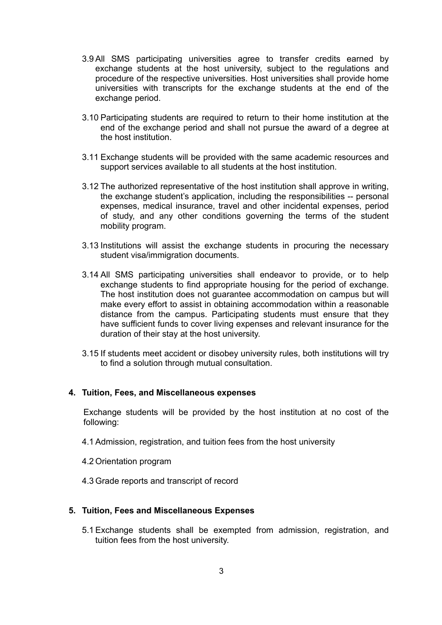- 3.9 All SMS participating universities agree to transfer credits earned by exchange students at the host university, subject to the regulations and procedure of the respective universities. Host universities shall provide home universities with transcripts for the exchange students at the end of the exchange period.
- 3.10 Participating students are required to return to their home institution at the end of the exchange period and shall not pursue the award of a degree at the host institution.
- 3.11 Exchange students will be provided with the same academic resources and support services available to all students at the host institution.
- 3.12 The authorized representative of the host institution shall approve in writing, the exchange student's application, including the responsibilities -- personal expenses, medical insurance, travel and other incidental expenses, period of study, and any other conditions governing the terms of the student mobility program.
- 3.13 Institutions will assist the exchange students in procuring the necessary student visa/immigration documents.
- 3.14 All SMS participating universities shall endeavor to provide, or to help exchange students to find appropriate housing for the period of exchange. The host institution does not guarantee accommodation on campus but will make every effort to assist in obtaining accommodation within a reasonable distance from the campus. Participating students must ensure that they have sufficient funds to cover living expenses and relevant insurance for the duration of their stay at the host university.
- 3.15 If students meet accident or disobey university rules, both institutions will try to find a solution through mutual consultation.

#### **4. Tuition, Fees, and Miscellaneous expenses**

Exchange students will be provided by the host institution at no cost of the following:

- 4.1 Admission, registration, and tuition fees from the host university
- 4.2 Orientation program
- 4.3 Grade reports and transcript of record

#### **5. Tuition, Fees and Miscellaneous Expenses**

5.1 Exchange students shall be exempted from admission, registration, and tuition fees from the host university.